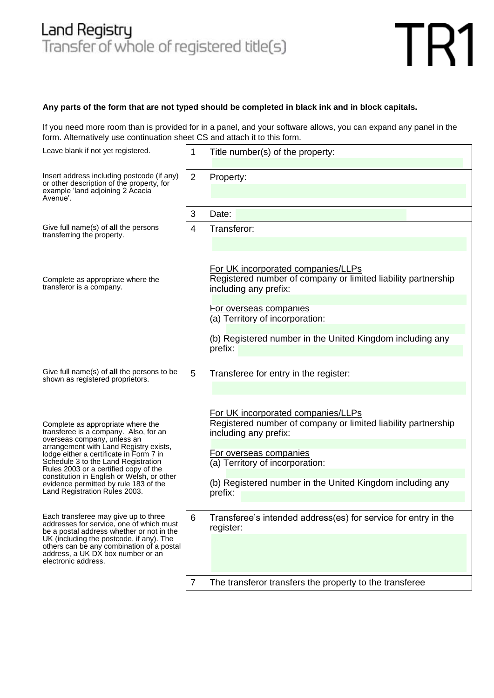## **Land Registry**<br>Transfer of whole of registered title(s)



## **Any parts of the form that are not typed should be completed in black ink and in block capitals.**

If you need more room than is provided for in a panel, and your software allows, you can expand any panel in the form. Alternatively use continuation sheet CS and attach it to this form.

| Leave blank if not yet registered.                                                                                                                                                                                                                                                 | 1              | Title number(s) of the property:                                                                                             |
|------------------------------------------------------------------------------------------------------------------------------------------------------------------------------------------------------------------------------------------------------------------------------------|----------------|------------------------------------------------------------------------------------------------------------------------------|
| Insert address including postcode (if any)<br>or other description of the property, for<br>example 'land adjoining 2 Acacia<br>Avenue'.                                                                                                                                            | $\overline{2}$ | Property:                                                                                                                    |
|                                                                                                                                                                                                                                                                                    | 3              | Date:                                                                                                                        |
| Give full name(s) of all the persons<br>transferring the property.                                                                                                                                                                                                                 | 4              | Transferor:                                                                                                                  |
| Complete as appropriate where the<br>transferor is a company.                                                                                                                                                                                                                      |                | For UK incorporated companies/LLPs<br>Registered number of company or limited liability partnership<br>including any prefix: |
|                                                                                                                                                                                                                                                                                    |                | For overseas companies<br>(a) Territory of incorporation:                                                                    |
|                                                                                                                                                                                                                                                                                    |                |                                                                                                                              |
|                                                                                                                                                                                                                                                                                    |                | (b) Registered number in the United Kingdom including any<br>prefix:                                                         |
| Give full name(s) of all the persons to be<br>shown as registered proprietors.                                                                                                                                                                                                     | 5              | Transferee for entry in the register:                                                                                        |
|                                                                                                                                                                                                                                                                                    |                |                                                                                                                              |
| Complete as appropriate where the<br>transferee is a company. Also, for an<br>overseas company, unless an<br>arrangement with Land Registry exists,<br>lodge either a certificate in Form 7 in<br>Schedule 3 to the Land Registration                                              |                | For UK incorporated companies/LLPs<br>Registered number of company or limited liability partnership<br>including any prefix: |
|                                                                                                                                                                                                                                                                                    |                | For overseas companies<br>(a) Territory of incorporation:                                                                    |
| Rules 2003 or a certified copy of the<br>constitution in English or Welsh, or other<br>evidence permitted by rule 183 of the                                                                                                                                                       |                | (b) Registered number in the United Kingdom including any                                                                    |
| Land Registration Rules 2003.                                                                                                                                                                                                                                                      |                | prefix:                                                                                                                      |
| Each transferee may give up to three<br>addresses for service, one of which must<br>be a postal address whether or not in the<br>UK (including the postcode, if any). The<br>others can be any combination of a postal<br>address, a UK DX box number or an<br>electronic address. | 6              | Transferee's intended address(es) for service for entry in the<br>register:                                                  |
|                                                                                                                                                                                                                                                                                    |                |                                                                                                                              |
|                                                                                                                                                                                                                                                                                    | $\overline{7}$ | The transferor transfers the property to the transferee                                                                      |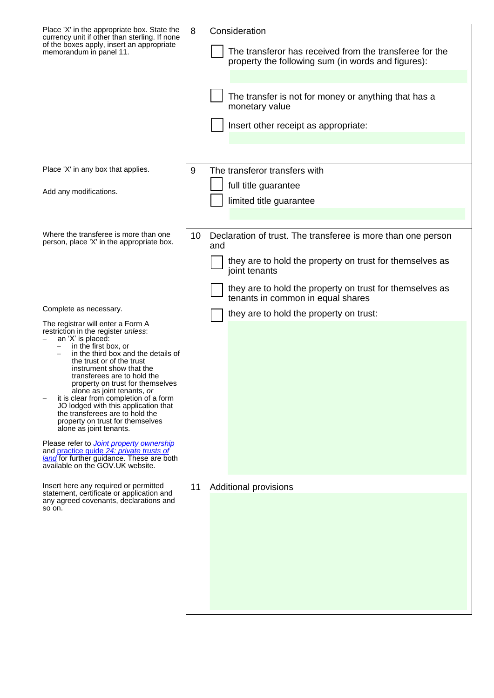| Place 'X' in the appropriate box. State the<br>currency unit if other than sterling. If none<br>of the boxes apply, insert an appropriate<br>memorandum in panel 11.                                                                                                                                                                                                                                                                                                 | 8  | Consideration<br>The transferor has received from the transferee for the<br>property the following sum (in words and figures):<br>The transfer is not for money or anything that has a<br>monetary value<br>Insert other receipt as appropriate: |
|----------------------------------------------------------------------------------------------------------------------------------------------------------------------------------------------------------------------------------------------------------------------------------------------------------------------------------------------------------------------------------------------------------------------------------------------------------------------|----|--------------------------------------------------------------------------------------------------------------------------------------------------------------------------------------------------------------------------------------------------|
| Place 'X' in any box that applies.                                                                                                                                                                                                                                                                                                                                                                                                                                   | 9  | The transferor transfers with                                                                                                                                                                                                                    |
| Add any modifications.                                                                                                                                                                                                                                                                                                                                                                                                                                               |    | full title guarantee<br>limited title guarantee                                                                                                                                                                                                  |
|                                                                                                                                                                                                                                                                                                                                                                                                                                                                      |    |                                                                                                                                                                                                                                                  |
| Where the transferee is more than one<br>person, place 'X' in the appropriate box.                                                                                                                                                                                                                                                                                                                                                                                   | 10 | Declaration of trust. The transferee is more than one person<br>and                                                                                                                                                                              |
|                                                                                                                                                                                                                                                                                                                                                                                                                                                                      |    | they are to hold the property on trust for themselves as<br>joint tenants                                                                                                                                                                        |
|                                                                                                                                                                                                                                                                                                                                                                                                                                                                      |    | they are to hold the property on trust for themselves as<br>tenants in common in equal shares                                                                                                                                                    |
| Complete as necessary.<br>The registrar will enter a Form A                                                                                                                                                                                                                                                                                                                                                                                                          |    | they are to hold the property on trust:                                                                                                                                                                                                          |
| restriction in the register unless:<br>an 'X' is placed:<br>in the first box, or<br>in the third box and the details of<br>the trust or of the trust<br>instrument show that the<br>transferees are to hold the<br>property on trust for themselves<br>alone as joint tenants, or<br>it is clear from completion of a form<br>JO lodged with this application that<br>the transferees are to hold the<br>property on trust for themselves<br>alone as joint tenants. |    |                                                                                                                                                                                                                                                  |
| Please refer to <b>Joint property ownership</b><br>and practice quide 24: private trusts of<br>land for further guidance. These are both<br>available on the GOV.UK website.                                                                                                                                                                                                                                                                                         |    |                                                                                                                                                                                                                                                  |
| Insert here any required or permitted<br>statement, certificate or application and<br>any agreed covenants, declarations and<br>so on.                                                                                                                                                                                                                                                                                                                               | 11 | <b>Additional provisions</b>                                                                                                                                                                                                                     |